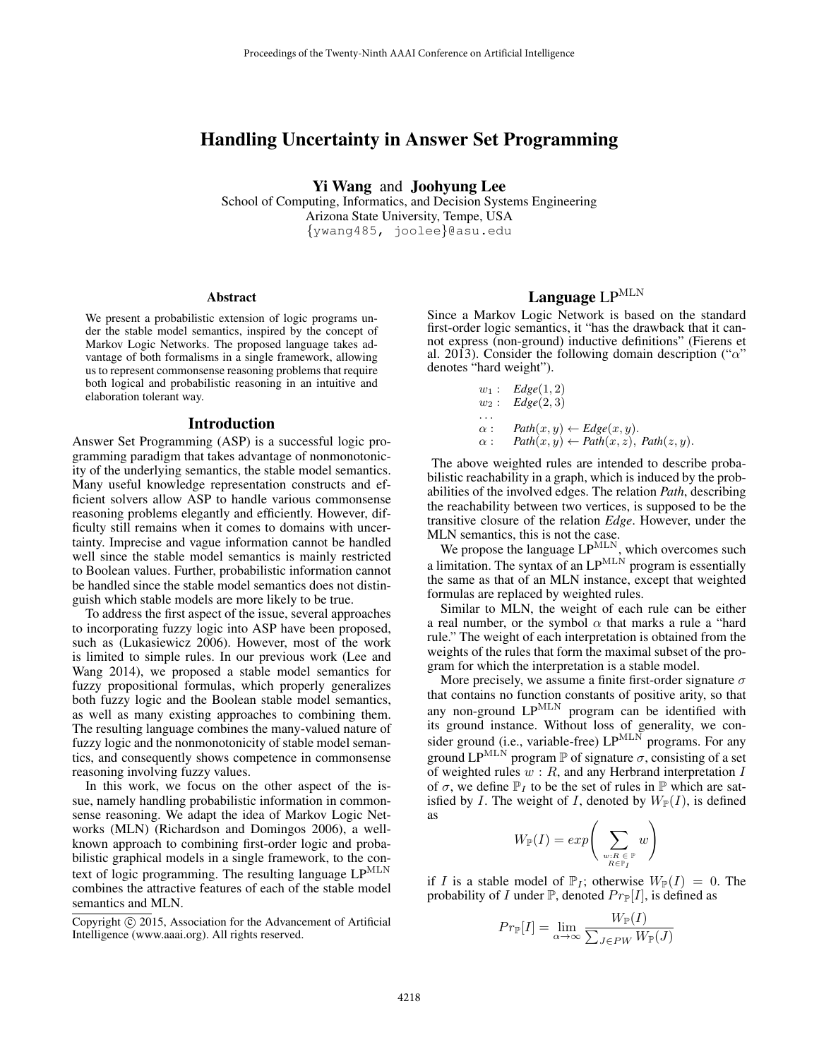## Handling Uncertainty in Answer Set Programming

Yi Wang and Joohyung Lee

School of Computing, Informatics, and Decision Systems Engineering Arizona State University, Tempe, USA {ywang485, joolee}@asu.edu

### **Abstract**

We present a probabilistic extension of logic programs under the stable model semantics, inspired by the concept of Markov Logic Networks. The proposed language takes advantage of both formalisms in a single framework, allowing us to represent commonsense reasoning problems that require both logical and probabilistic reasoning in an intuitive and elaboration tolerant way.

#### Introduction

Answer Set Programming (ASP) is a successful logic programming paradigm that takes advantage of nonmonotonicity of the underlying semantics, the stable model semantics. Many useful knowledge representation constructs and efficient solvers allow ASP to handle various commonsense reasoning problems elegantly and efficiently. However, difficulty still remains when it comes to domains with uncertainty. Imprecise and vague information cannot be handled well since the stable model semantics is mainly restricted to Boolean values. Further, probabilistic information cannot be handled since the stable model semantics does not distinguish which stable models are more likely to be true.

To address the first aspect of the issue, several approaches to incorporating fuzzy logic into ASP have been proposed, such as (Lukasiewicz 2006). However, most of the work is limited to simple rules. In our previous work (Lee and Wang 2014), we proposed a stable model semantics for fuzzy propositional formulas, which properly generalizes both fuzzy logic and the Boolean stable model semantics, as well as many existing approaches to combining them. The resulting language combines the many-valued nature of fuzzy logic and the nonmonotonicity of stable model semantics, and consequently shows competence in commonsense reasoning involving fuzzy values.

In this work, we focus on the other aspect of the issue, namely handling probabilistic information in commonsense reasoning. We adapt the idea of Markov Logic Networks (MLN) (Richardson and Domingos 2006), a wellknown approach to combining first-order logic and probabilistic graphical models in a single framework, to the context of logic programming. The resulting language  $LP^{MLN}$ combines the attractive features of each of the stable model semantics and MLN.

# Language  $LP^{MLN}$

Since a Markov Logic Network is based on the standard first-order logic semantics, it "has the drawback that it cannot express (non-ground) inductive definitions" (Fierens et al. 2013). Consider the following domain description (" $\alpha$ " denotes "hard weight").

$$
w_1: Edge(1, 2)
$$
  
\n
$$
w_2: Edge(2, 3)
$$
  
\n
$$
\alpha: Path(x, y) \leftarrow Edge(x, y).
$$
  
\n
$$
\alpha: Path(x, y) \leftarrow Path(x, z), Path(z, y).
$$

The above weighted rules are intended to describe probabilistic reachability in a graph, which is induced by the probabilities of the involved edges. The relation *Path*, describing the reachability between two vertices, is supposed to be the transitive closure of the relation *Edge*. However, under the MLN semantics, this is not the case.

We propose the language  $LP^{MLN}$ , which overcomes such a limitation. The syntax of an  $LP^{MLN}$  program is essentially the same as that of an MLN instance, except that weighted formulas are replaced by weighted rules.

Similar to MLN, the weight of each rule can be either a real number, or the symbol  $\alpha$  that marks a rule a "hard rule." The weight of each interpretation is obtained from the weights of the rules that form the maximal subset of the program for which the interpretation is a stable model.

More precisely, we assume a finite first-order signature  $\sigma$ that contains no function constants of positive arity, so that any non-ground LP<sup>MLN</sup> program can be identified with its ground instance. Without loss of generality, we consider ground (i.e., variable-free)  $LP^{MLN}$  programs. For any ground  $LP^{MLN}$  program P of signature  $\sigma$ , consisting of a set of weighted rules  $w : R$ , and any Herbrand interpretation I of  $\sigma$ , we define  $\mathbb{P}_I$  to be the set of rules in  $\mathbb P$  which are satisfied by I. The weight of I, denoted by  $W_{\mathbb{P}}(I)$ , is defined as

$$
W_{\mathbb{P}}(I)=exp\Bigg(\sum_{\genfrac{}{}{0pt}{}{\scriptstyle{w:R\in\mathbb{P}}}{\scriptstyle{R\in\mathbb{P}_I}}}w\Bigg)
$$

if I is a stable model of  $\mathbb{P}_I$ ; otherwise  $W_{\mathbb{P}}(I) = 0$ . The probability of I under  $\mathbb{P}$ , denoted  $Pr_{\mathbb{P}}[I]$ , is defined as

$$
Pr_{\mathbb{P}}[I] = \lim_{\alpha \to \infty} \frac{W_{\mathbb{P}}(I)}{\sum_{J \in PW} W_{\mathbb{P}}(J)}
$$

Copyright (c) 2015, Association for the Advancement of Artificial Intelligence (www.aaai.org). All rights reserved.